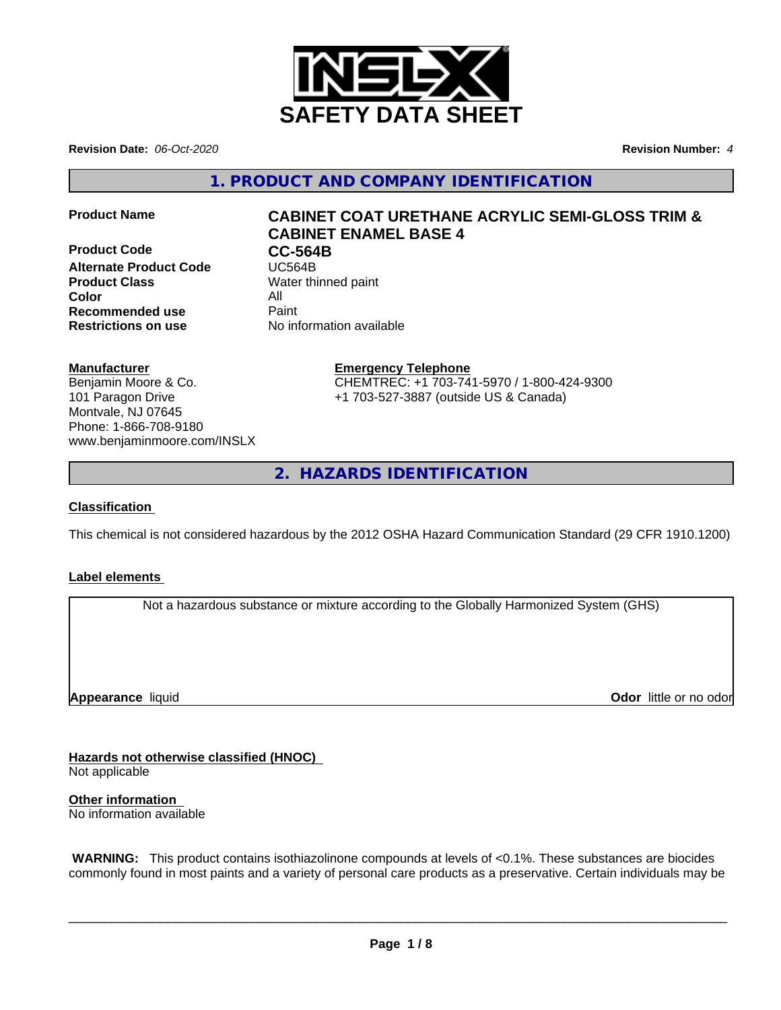

**Revision Date:** *06-Oct-2020* **Revision Number:** *4*

**1. PRODUCT AND COMPANY IDENTIFICATION**

**Product Code CC-564B**<br> **Alternate Product Code CC-564B Alternate Product Code Product Class** Water thinned paint **Color** All **Recommended use** Paint **Restrictions on use** No information available

# **Product Name CABINET COAT URETHANE ACRYLIC SEMI-GLOSS TRIM & CABINET ENAMEL BASE 4**

# **Manufacturer**

Benjamin Moore & Co. 101 Paragon Drive Montvale, NJ 07645 Phone: 1-866-708-9180 www.benjaminmoore.com/INSLX

# **Emergency Telephone**

CHEMTREC: +1 703-741-5970 / 1-800-424-9300 +1 703-527-3887 (outside US & Canada)

**2. HAZARDS IDENTIFICATION**

# **Classification**

This chemical is not considered hazardous by the 2012 OSHA Hazard Communication Standard (29 CFR 1910.1200)

# **Label elements**

Not a hazardous substance or mixture according to the Globally Harmonized System (GHS)

**Appearance** liquid

**Odor** little or no odor

**Hazards not otherwise classified (HNOC)**

Not applicable

**Other information** No information available

 **WARNING:** This product contains isothiazolinone compounds at levels of <0.1%. These substances are biocides commonly found in most paints and a variety of personal care products as a preservative. Certain individuals may be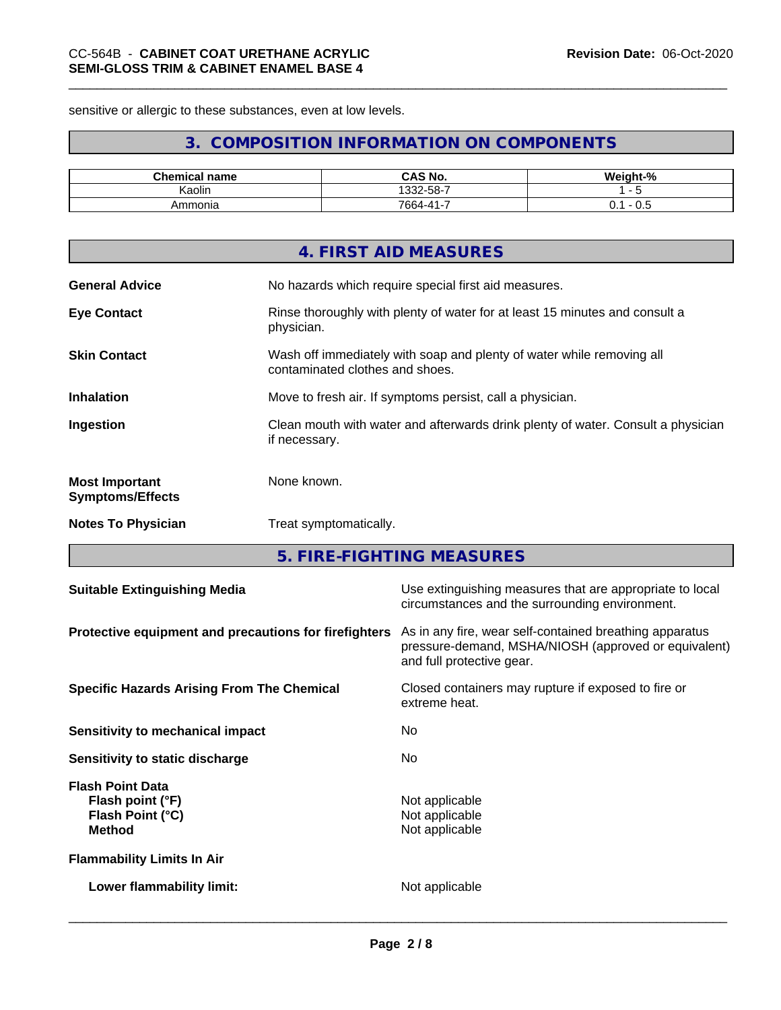sensitive or allergic to these substances, even at low levels.

# **3. COMPOSITION INFORMATION ON COMPONENTS**

| <b>Chemical name</b> | <b>CAS No.</b>                  | $\cdots$<br>יום<br>- 70 |
|----------------------|---------------------------------|-------------------------|
| . .<br>. .<br>Kaolin | . ა32-58-7                      |                         |
| Ammonia              | $\cdots$<br>$7664 - 41 -$<br>ັບ | v.v<br>ິ.               |

|                                                  | 4. FIRST AID MEASURES                                                                                    |
|--------------------------------------------------|----------------------------------------------------------------------------------------------------------|
| <b>General Advice</b>                            | No hazards which require special first aid measures.                                                     |
| <b>Eye Contact</b>                               | Rinse thoroughly with plenty of water for at least 15 minutes and consult a<br>physician.                |
| <b>Skin Contact</b>                              | Wash off immediately with soap and plenty of water while removing all<br>contaminated clothes and shoes. |
| <b>Inhalation</b>                                | Move to fresh air. If symptoms persist, call a physician.                                                |
| Ingestion                                        | Clean mouth with water and afterwards drink plenty of water. Consult a physician<br>if necessary.        |
| <b>Most Important</b><br><b>Symptoms/Effects</b> | None known.                                                                                              |
| <b>Notes To Physician</b>                        | Treat symptomatically.                                                                                   |

**5. FIRE-FIGHTING MEASURES**

| <b>Suitable Extinguishing Media</b>                                              | Use extinguishing measures that are appropriate to local<br>circumstances and the surrounding environment.                                   |
|----------------------------------------------------------------------------------|----------------------------------------------------------------------------------------------------------------------------------------------|
| Protective equipment and precautions for firefighters                            | As in any fire, wear self-contained breathing apparatus<br>pressure-demand, MSHA/NIOSH (approved or equivalent)<br>and full protective gear. |
| <b>Specific Hazards Arising From The Chemical</b>                                | Closed containers may rupture if exposed to fire or<br>extreme heat.                                                                         |
| Sensitivity to mechanical impact                                                 | No.                                                                                                                                          |
| Sensitivity to static discharge                                                  | No.                                                                                                                                          |
| <b>Flash Point Data</b><br>Flash point (°F)<br>Flash Point (°C)<br><b>Method</b> | Not applicable<br>Not applicable<br>Not applicable                                                                                           |
| <b>Flammability Limits In Air</b>                                                |                                                                                                                                              |
| Lower flammability limit:                                                        | Not applicable                                                                                                                               |
|                                                                                  |                                                                                                                                              |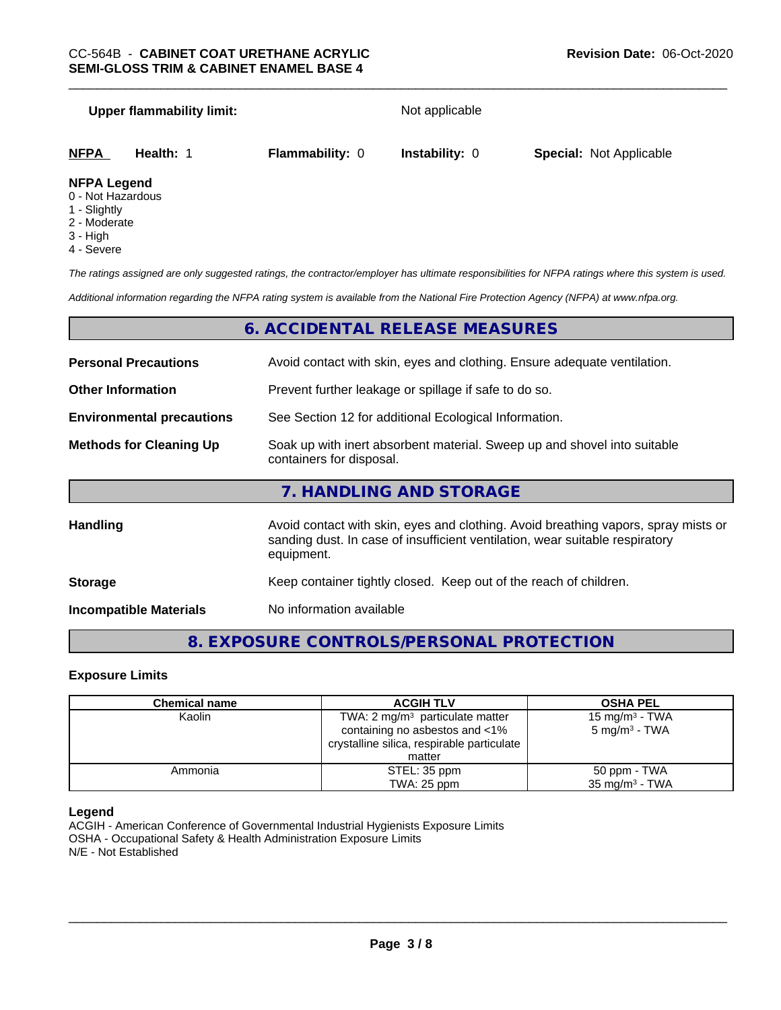### **Upper flammability limit:** Not applicable

| <b>NFPA</b>  | Health: | <b>Flammability: 0</b> | <b>Instability: 0</b> | <b>Special: Not Applicable</b> |
|--------------|---------|------------------------|-----------------------|--------------------------------|
| NIEDA LANANA |         |                        |                       |                                |

#### **NFPA Legend**

- 0 Not Hazardous
- 1 Slightly
- 2 Moderate
- 3 High
- 4 Severe

*The ratings assigned are only suggested ratings, the contractor/employer has ultimate responsibilities for NFPA ratings where this system is used.*

*Additional information regarding the NFPA rating system is available from the National Fire Protection Agency (NFPA) at www.nfpa.org.*

# **6. ACCIDENTAL RELEASE MEASURES**

| <b>Personal Precautions</b>      | Avoid contact with skin, eyes and clothing. Ensure adequate ventilation.                                                                                                         |  |  |
|----------------------------------|----------------------------------------------------------------------------------------------------------------------------------------------------------------------------------|--|--|
| <b>Other Information</b>         | Prevent further leakage or spillage if safe to do so.                                                                                                                            |  |  |
| <b>Environmental precautions</b> | See Section 12 for additional Ecological Information.                                                                                                                            |  |  |
| <b>Methods for Cleaning Up</b>   | Soak up with inert absorbent material. Sweep up and shovel into suitable<br>containers for disposal.                                                                             |  |  |
|                                  | 7. HANDLING AND STORAGE                                                                                                                                                          |  |  |
| <b>Handling</b>                  | Avoid contact with skin, eyes and clothing. Avoid breathing vapors, spray mists or<br>sanding dust. In case of insufficient ventilation, wear suitable respiratory<br>equipment. |  |  |
| <b>Storage</b>                   | Keep container tightly closed. Keep out of the reach of children.                                                                                                                |  |  |

**Incompatible Materials** No information available

# **8. EXPOSURE CONTROLS/PERSONAL PROTECTION**

#### **Exposure Limits**

| <b>Chemical name</b> | <b>ACGIH TLV</b>                           | <b>OSHA PEL</b>            |  |
|----------------------|--------------------------------------------|----------------------------|--|
| Kaolin               | TWA: 2 $mg/m3$ particulate matter          | 15 mg/m <sup>3</sup> - TWA |  |
|                      | containing no asbestos and <1%             | 5 mg/m <sup>3</sup> - TWA  |  |
|                      | crystalline silica, respirable particulate |                            |  |
|                      | matter                                     |                            |  |
| Ammonia              | STEL: 35 ppm                               | 50 ppm - TWA               |  |
|                      | TWA: 25 ppm                                | $35 \text{ mg/m}^3$ - TWA  |  |

#### **Legend**

ACGIH - American Conference of Governmental Industrial Hygienists Exposure Limits OSHA - Occupational Safety & Health Administration Exposure Limits N/E - Not Established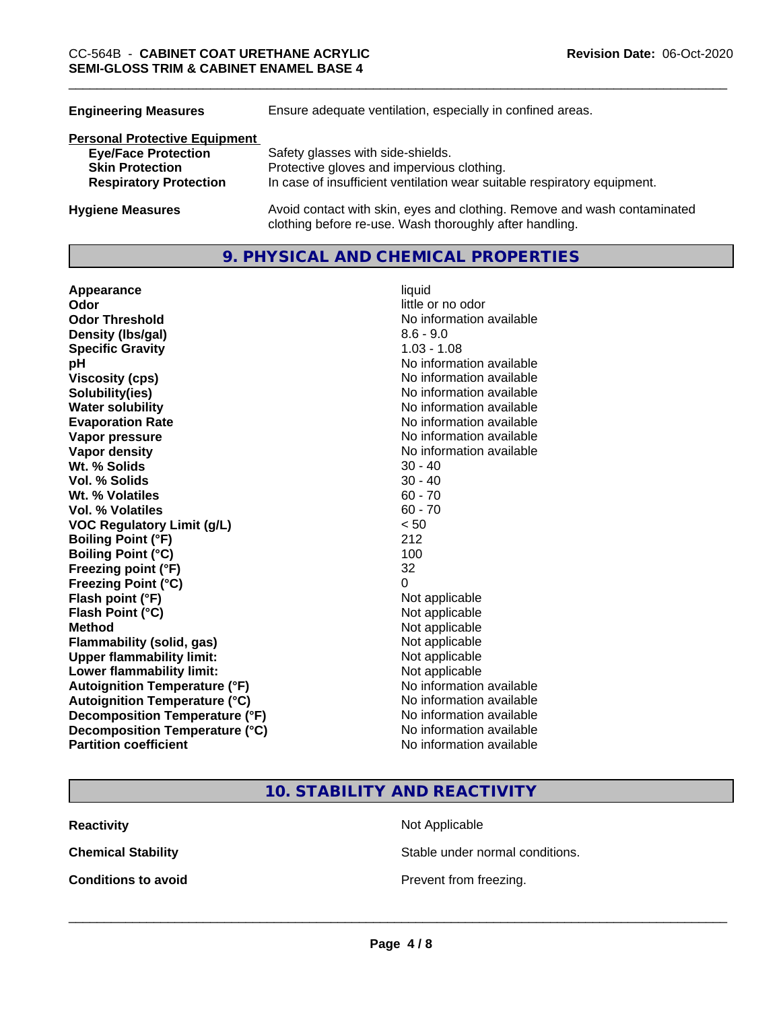| Ensure adequate ventilation, especially in confined areas.                                                                          |
|-------------------------------------------------------------------------------------------------------------------------------------|
|                                                                                                                                     |
| Safety glasses with side-shields.                                                                                                   |
| Protective gloves and impervious clothing.                                                                                          |
| In case of insufficient ventilation wear suitable respiratory equipment.                                                            |
| Avoid contact with skin, eyes and clothing. Remove and wash contaminated<br>clothing before re-use. Wash thoroughly after handling. |
|                                                                                                                                     |

# **9. PHYSICAL AND CHEMICAL PROPERTIES**

**Appearance** liquid **Odor** little or no odor **Odor Threshold No information available No information available Density (lbs/gal)** 8.6 - 9.0 **Specific Gravity** 1.03 - 1.08 **pH** No information available **Viscosity (cps)** <br> **Viscosity (cps)** No information available<br>
No information available<br>
No information available **Water solubility**<br> **Evaporation Rate**<br> **Evaporation Rate**<br> **Evaporation Rate Vapor pressure** No information available **Vapor density Vapor density No information available Wt.** % Solids 30 - 40 **Vol. % Solids** 30 - 40 **Wt.** % Volatiles 60 - 70 **Vol. % Volatiles** 60 - 70 **VOC Regulatory Limit (g/L)** < 50 **Boiling Point (°F)** 212 **Boiling Point (°C) Freezing point (°F)** 32 **Freezing Point (°C)** 0 **Flash point (°F)** Not applicable **Flash Point (°C)** Not applicable **Method**<br> **Flammability (solid, gas)**<br> **Commability (solid, gas)**<br>
Mot applicable **Flammability** (solid, gas) **Upper flammability limit:** Not applicable **Lower flammability limit:** Not applicable **Autoignition Temperature (°F)** No information available **Autoignition Temperature (°C)** No information available **Decomposition Temperature (°F)** No information available **Decomposition Temperature (°C)** No information available **Partition coefficient** No information available

**No information available Evaporation Rate** No information available

**10. STABILITY AND REACTIVITY**

**Reactivity Not Applicable Not Applicable** 

**Chemical Stability Stable under normal conditions.** 

**Conditions to avoid Conditions to avoid Prevent from freezing.**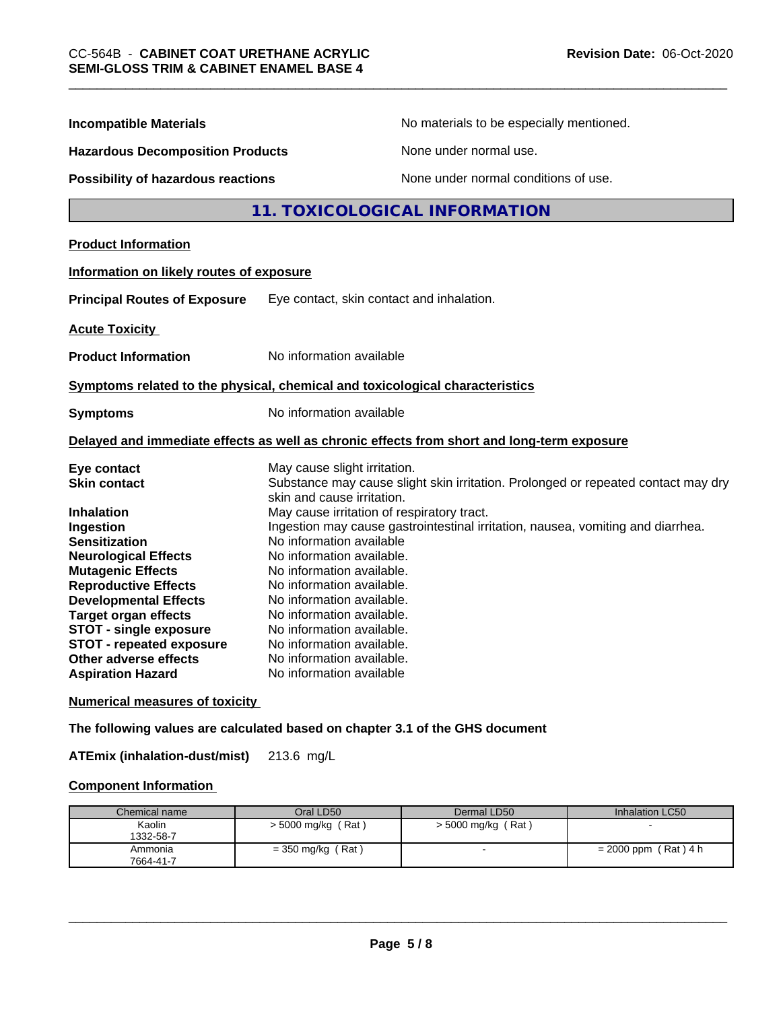| <b>Incompatible Materials</b>                                                                                                                                                                                                                                                                                       | No materials to be especially mentioned.                                                                                                                                                                                                                                                                                                                                                          |  |
|---------------------------------------------------------------------------------------------------------------------------------------------------------------------------------------------------------------------------------------------------------------------------------------------------------------------|---------------------------------------------------------------------------------------------------------------------------------------------------------------------------------------------------------------------------------------------------------------------------------------------------------------------------------------------------------------------------------------------------|--|
| <b>Hazardous Decomposition Products</b>                                                                                                                                                                                                                                                                             | None under normal use.                                                                                                                                                                                                                                                                                                                                                                            |  |
| <b>Possibility of hazardous reactions</b>                                                                                                                                                                                                                                                                           | None under normal conditions of use.                                                                                                                                                                                                                                                                                                                                                              |  |
|                                                                                                                                                                                                                                                                                                                     | 11. TOXICOLOGICAL INFORMATION                                                                                                                                                                                                                                                                                                                                                                     |  |
| <b>Product Information</b>                                                                                                                                                                                                                                                                                          |                                                                                                                                                                                                                                                                                                                                                                                                   |  |
| Information on likely routes of exposure                                                                                                                                                                                                                                                                            |                                                                                                                                                                                                                                                                                                                                                                                                   |  |
| <b>Principal Routes of Exposure</b>                                                                                                                                                                                                                                                                                 | Eye contact, skin contact and inhalation.                                                                                                                                                                                                                                                                                                                                                         |  |
| <b>Acute Toxicity</b>                                                                                                                                                                                                                                                                                               |                                                                                                                                                                                                                                                                                                                                                                                                   |  |
| <b>Product Information</b>                                                                                                                                                                                                                                                                                          | No information available                                                                                                                                                                                                                                                                                                                                                                          |  |
|                                                                                                                                                                                                                                                                                                                     | Symptoms related to the physical, chemical and toxicological characteristics                                                                                                                                                                                                                                                                                                                      |  |
| <b>Symptoms</b>                                                                                                                                                                                                                                                                                                     | No information available                                                                                                                                                                                                                                                                                                                                                                          |  |
|                                                                                                                                                                                                                                                                                                                     | Delayed and immediate effects as well as chronic effects from short and long-term exposure                                                                                                                                                                                                                                                                                                        |  |
| Eye contact<br><b>Skin contact</b>                                                                                                                                                                                                                                                                                  | May cause slight irritation.<br>Substance may cause slight skin irritation. Prolonged or repeated contact may dry<br>skin and cause irritation.                                                                                                                                                                                                                                                   |  |
| <b>Inhalation</b><br>Ingestion<br><b>Sensitization</b><br><b>Neurological Effects</b><br><b>Mutagenic Effects</b><br><b>Reproductive Effects</b><br><b>Developmental Effects</b><br><b>Target organ effects</b><br><b>STOT - single exposure</b><br><b>STOT - repeated exposure</b><br><b>Other adverse effects</b> | May cause irritation of respiratory tract.<br>Ingestion may cause gastrointestinal irritation, nausea, vomiting and diarrhea.<br>No information available<br>No information available.<br>No information available.<br>No information available.<br>No information available.<br>No information available.<br>No information available.<br>No information available.<br>No information available. |  |

**Numerical measures of toxicity**

**The following values are calculated based on chapter 3.1 of the GHS document**

**ATEmix (inhalation-dust/mist)** 213.6 mg/L

# **Component Information**

| Chemical name        | Oral LD50            | Dermal LD50        | Inhalation LC50        |
|----------------------|----------------------|--------------------|------------------------|
| Kaolin<br>1332-58-7  | $>$ 5000 mg/kg (Rat) | > 5000 mg/kg (Rat) |                        |
| Ammonia<br>7664-41-7 | $=$ 350 mg/kg (Rat)  |                    | $= 2000$ ppm (Rat) 4 h |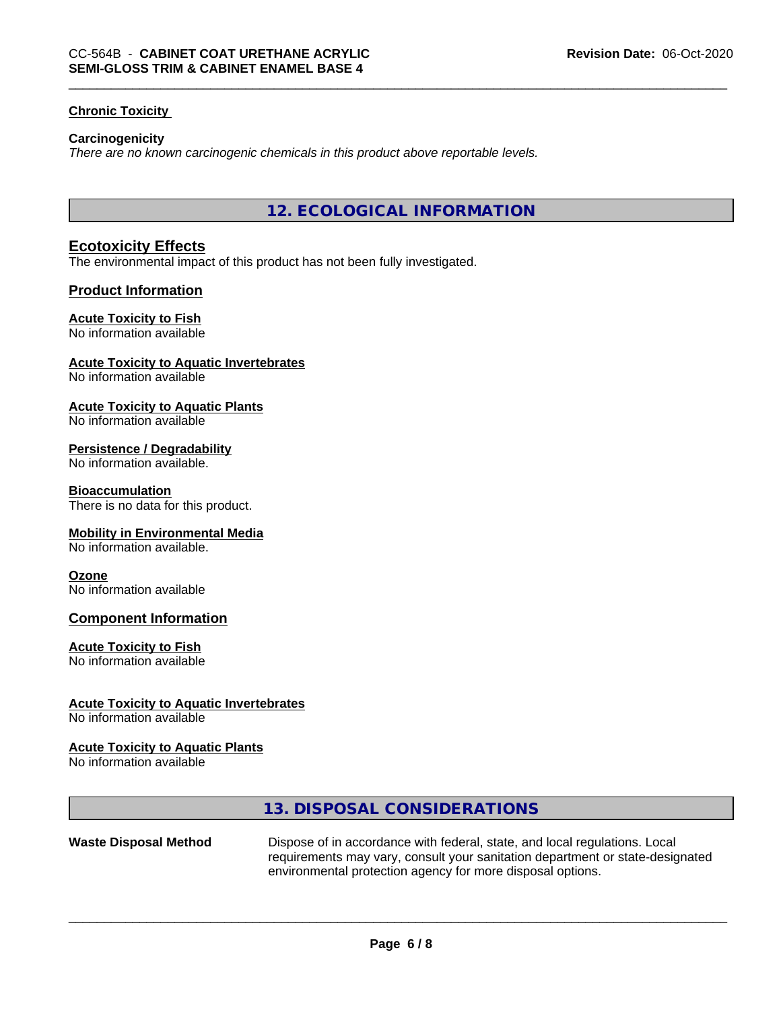#### **Chronic Toxicity**

#### **Carcinogenicity**

*There are no known carcinogenic chemicals in this product above reportable levels.*

**12. ECOLOGICAL INFORMATION**

## **Ecotoxicity Effects**

The environmental impact of this product has not been fully investigated.

# **Product Information**

#### **Acute Toxicity to Fish**

No information available

#### **Acute Toxicity to Aquatic Invertebrates**

No information available

#### **Acute Toxicity to Aquatic Plants**

No information available

#### **Persistence / Degradability**

No information available.

#### **Bioaccumulation**

There is no data for this product.

#### **Mobility in Environmental Media**

No information available.

#### **Ozone**

No information available

#### **Component Information**

#### **Acute Toxicity to Fish**

No information available

#### **Acute Toxicity to Aquatic Invertebrates**

No information available

#### **Acute Toxicity to Aquatic Plants**

No information available

# **13. DISPOSAL CONSIDERATIONS**

**Waste Disposal Method** Dispose of in accordance with federal, state, and local regulations. Local requirements may vary, consult your sanitation department or state-designated environmental protection agency for more disposal options.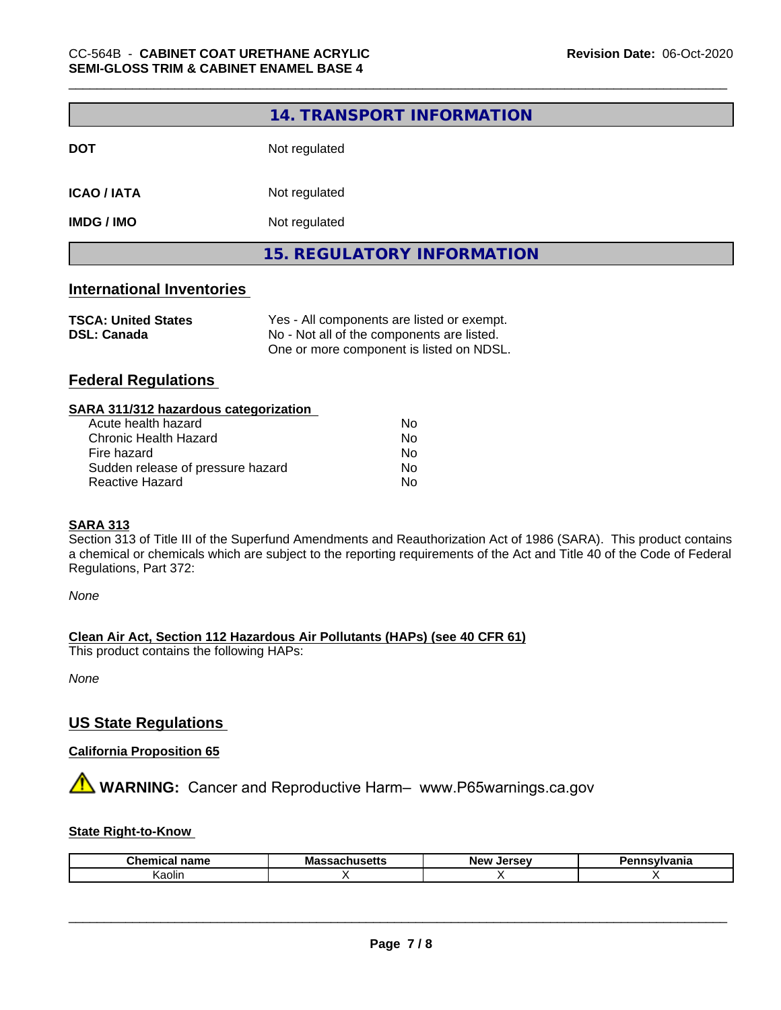|                                                  | 14. TRANSPORT INFORMATION                                                                |
|--------------------------------------------------|------------------------------------------------------------------------------------------|
| <b>DOT</b>                                       | Not regulated                                                                            |
| <b>ICAO / IATA</b>                               | Not regulated                                                                            |
| <b>IMDG / IMO</b>                                | Not regulated                                                                            |
|                                                  | <b>15. REGULATORY INFORMATION</b>                                                        |
| <b>International Inventories</b>                 |                                                                                          |
| <b>TSCA: United States</b><br><b>DSL: Canada</b> | Yes - All components are listed or exempt.<br>No - Not all of the components are listed. |

One or more component is listed on NDSL.

# **Federal Regulations**

| Nο |  |
|----|--|
| Nο |  |
| No |  |
| No |  |
| No |  |
|    |  |

#### **SARA 313**

Section 313 of Title III of the Superfund Amendments and Reauthorization Act of 1986 (SARA). This product contains a chemical or chemicals which are subject to the reporting requirements of the Act and Title 40 of the Code of Federal Regulations, Part 372:

*None*

**Clean Air Act,Section 112 Hazardous Air Pollutants (HAPs) (see 40 CFR 61)**

This product contains the following HAPs:

*None*

# **US State Regulations**

# **California Proposition 65**

**AVIMARNING:** Cancer and Reproductive Harm– www.P65warnings.ca.gov

#### **State Right-to-Know**

| Chemical<br>' name | Massachusetts | Jersev<br>New | ınsvlvania |
|--------------------|---------------|---------------|------------|
| . .<br>Kaolin      |               |               |            |